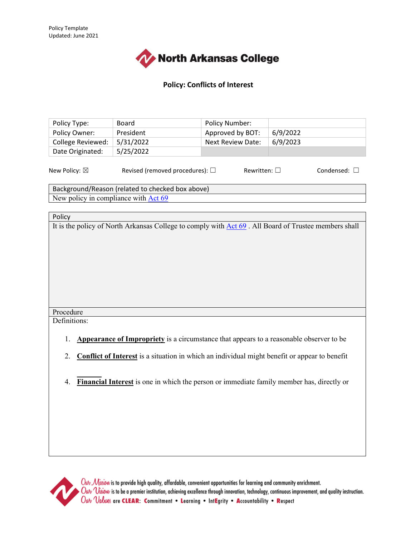

### **Policy: Conflicts of Interest**

| Policy Type:            | <b>Board</b>                            | Policy Number:           |          |                      |
|-------------------------|-----------------------------------------|--------------------------|----------|----------------------|
| Policy Owner:           | President                               | Approved by BOT:         | 6/9/2022 |                      |
| College Reviewed:       | 5/31/2022                               | <b>Next Review Date:</b> | 6/9/2023 |                      |
| Date Originated:        | 5/25/2022                               |                          |          |                      |
| New Policy: $\boxtimes$ | Revised (removed procedures): $\square$ | Rewritten: $\square$     |          | Condensed: $\square$ |

Background/Reason (related to checked box above) New policy in compliance with [Act 69](https://www.arkleg.state.ar.us/Acts/FTPDocument?path=%2FACTS%2F2021R%2FPublic%2F&file=69.pdf&ddBienniumSession=2021%2F2021R)

#### Policy

It is the policy of North Arkansas College to comply with [Act 69](https://www.arkleg.state.ar.us/Acts/FTPDocument?path=%2FACTS%2F2021R%2FPublic%2F&file=69.pdf&ddBienniumSession=2021%2F2021R). All Board of Trustee members shall

## Procedure

Definitions:

- 1. **[Appearance of Impropriety](https://www.sfcc.edu/glossary/appearance-of-impropriety/)** is a circumstance that appears to a reasonable observer to be
- 2. **[Conflict of Interest](https://www.sfcc.edu/glossary/conflict-of-interest/)** is a situation in which an individual might benefit or appear to benefit
- 3. **Trustee** is any member of the North Arkansas College Board of Trustees. 4. **[Financial Interest](https://www.sfcc.edu/glossary/financial-interest/)** is one in which the person or immediate family member has, directly or



 $\emph{O}\omega\sim\mathcal{M}$ iusiow is to provide high quality, affordable, convenient opportunities for learning and community enrichment.  $\emph{O}\omega\nu$   $\emph{V}$ isiow is to be a premier institution, achieving excellence through innovation, technology, continuous improvement, and quality instruction. Out Values are CLEAR: Commitment . Learning . IntEgrity . Accountability . Respect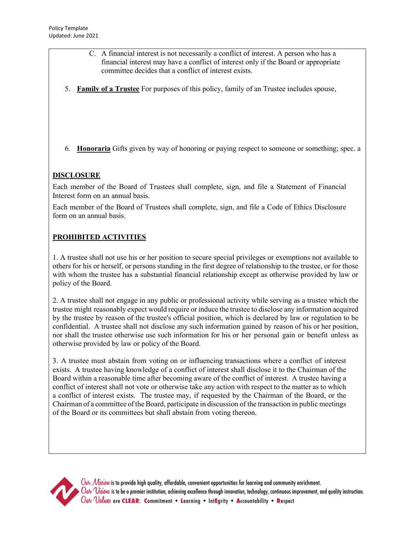- C. A financial interest is not necessarily a conflict of interest. A person who has a financial interest may have a conflict of interest only if the Board or appropriate committee decides that a conflict of interest exists.
- 5. **[Family of a Trustee](https://www.sfcc.edu/glossary/family-of-an-employee/)** For purposes of this policy, family of an Trustee includes spouse,
- 6. **[Honoraria](https://www.sfcc.edu/glossary/honoraria/)** Gifts given by way of honoring or paying respect to someone or something; spec. a

# **DISCLOSURE**

Each member of the Board of Trustees shall complete, sign, and file a Statement of Financial Interest form on an annual basis.

Each member of the Board of Trustees shall complete, sign, and file a Code of Ethics Disclosure form on an annual basis.

# **PROHIBITED ACTIVITIES**

1. A trustee shall not use his or her position to secure special privileges or exemptions not available to others for his or herself, or persons standing in the first degree of relationship to the trustee, or for those with whom the trustee has a substantial financial relationship except as otherwise provided by law or policy of the Board.

2. A trustee shall not engage in any public or professional activity while serving as a trustee which the trustee might reasonably expect would require or induce the trustee to disclose any information acquired by the trustee by reason of the trustee's official position, which is declared by law or regulation to be confidential. A trustee shall not disclose any such information gained by reason of his or her position, nor shall the trustee otherwise use such information for his or her personal gain or benefit unless as otherwise provided by law or policy of the Board.

3. A trustee must abstain from voting on or influencing transactions where a conflict of interest exists. A trustee having knowledge of a conflict of interest shall disclose it to the Chairman of the Board within a reasonable time after becoming aware of the conflict of interest. A trustee having a conflict of interest shall not vote or otherwise take any action with respect to the matter as to which a conflict of interest exists. The trustee may, if requested by the Chairman of the Board, or the Chairman of a committee of the Board, participate in discussion of the transaction in public meetings of the Board or its committees but shall abstain from voting thereon.